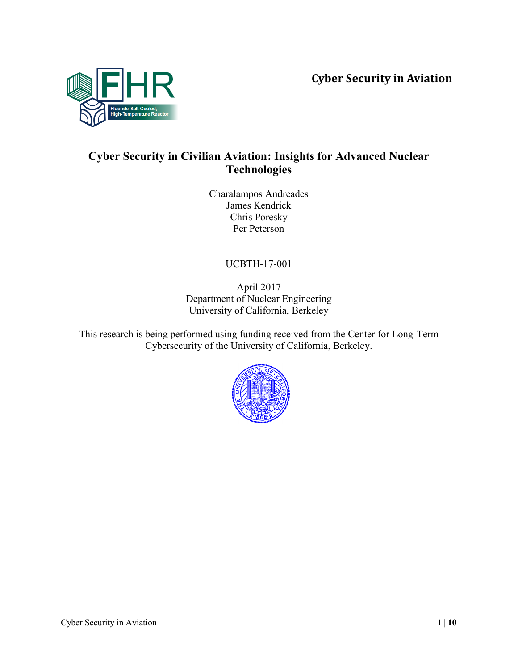

### **Cyber Security in Civilian Aviation: Insights for Advanced Nuclear Technologies**

Charalampos Andreades James Kendrick Chris Poresky Per Peterson

UCBTH-17-001

April 2017 Department of Nuclear Engineering University of California, Berkeley

This research is being performed using funding received from the Center for Long-Term Cybersecurity of the University of California, Berkeley.

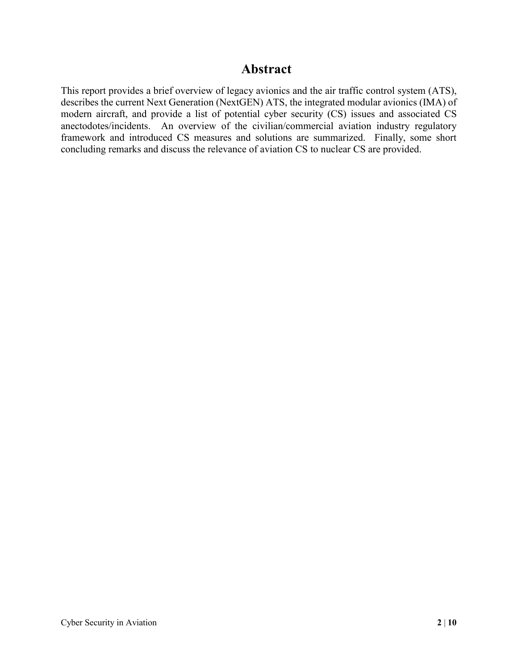#### **Abstract**

This report provides a brief overview of legacy avionics and the air traffic control system (ATS), describes the current Next Generation (NextGEN) ATS, the integrated modular avionics (IMA) of modern aircraft, and provide a list of potential cyber security (CS) issues and associated CS anectodotes/incidents. An overview of the civilian/commercial aviation industry regulatory framework and introduced CS measures and solutions are summarized. Finally, some short concluding remarks and discuss the relevance of aviation CS to nuclear CS are provided.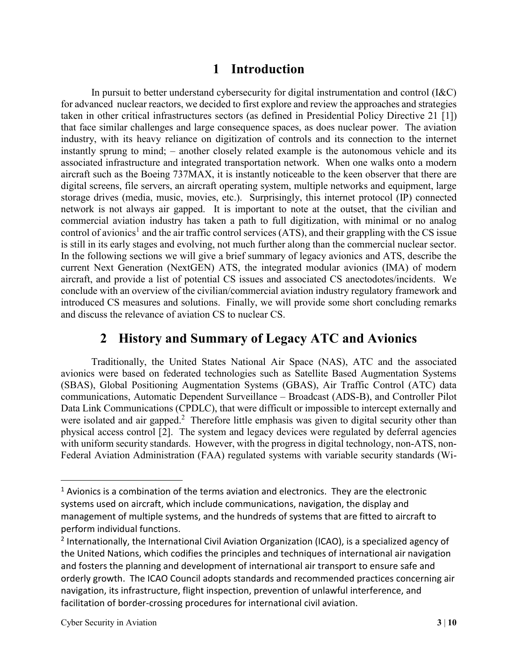### **1 Introduction**

In pursuit to better understand cybersecurity for digital instrumentation and control (I&C) for advanced nuclear reactors, we decided to first explore and review the approaches and strategies taken in other critical infrastructures sectors (as defined in Presidential Policy Directive 21 [1]) that face similar challenges and large consequence spaces, as does nuclear power. The aviation industry, with its heavy reliance on digitization of controls and its connection to the internet instantly sprung to mind; – another closely related example is the autonomous vehicle and its associated infrastructure and integrated transportation network. When one walks onto a modern aircraft such as the Boeing 737MAX, it is instantly noticeable to the keen observer that there are digital screens, file servers, an aircraft operating system, multiple networks and equipment, large storage drives (media, music, movies, etc.). Surprisingly, this internet protocol (IP) connected network is not always air gapped. It is important to note at the outset, that the civilian and commercial aviation industry has taken a path to full digitization, with minimal or no analog control of avionics<sup>1</sup> and the air traffic control services (ATS), and their grappling with the CS issue is still in its early stages and evolving, not much further along than the commercial nuclear sector. In the following sections we will give a brief summary of legacy avionics and ATS, describe the current Next Generation (NextGEN) ATS, the integrated modular avionics (IMA) of modern aircraft, and provide a list of potential CS issues and associated CS anectodotes/incidents. We conclude with an overview of the civilian/commercial aviation industry regulatory framework and introduced CS measures and solutions. Finally, we will provide some short concluding remarks and discuss the relevance of aviation CS to nuclear CS.

#### **2 History and Summary of Legacy ATC and Avionics**

Traditionally, the United States National Air Space (NAS), ATC and the associated avionics were based on federated technologies such as Satellite Based Augmentation Systems (SBAS), Global Positioning Augmentation Systems (GBAS), Air Traffic Control (ATC) data communications, Automatic Dependent Surveillance – Broadcast (ADS-B), and Controller Pilot Data Link Communications (CPDLC), that were difficult or impossible to intercept externally and were isolated and air gapped.<sup>2</sup> Therefore little emphasis was given to digital security other than physical access control [2]. The system and legacy devices were regulated by deferral agencies with uniform security standards. However, with the progress in digital technology, non-ATS, non-Federal Aviation Administration (FAA) regulated systems with variable security standards (Wi-

 $\overline{a}$ 

 $<sup>1</sup>$  Avionics is a combination of the terms aviation and electronics. They are the electronic</sup> systems used on aircraft, which include communications, navigation, the display and management of multiple systems, and the hundreds of systems that are fitted to aircraft to perform individual functions.

<sup>&</sup>lt;sup>2</sup> Internationally, the International Civil Aviation Organization (ICAO), is a specialized agency of the United Nations, which codifies the principles and techniques of international air navigation and fosters the planning and development of international air transport to ensure safe and orderly growth. The ICAO Council adopts standards and recommended practices concerning air navigation, its infrastructure, flight inspection, prevention of unlawful interference, and facilitation of border-crossing procedures for international civil aviation.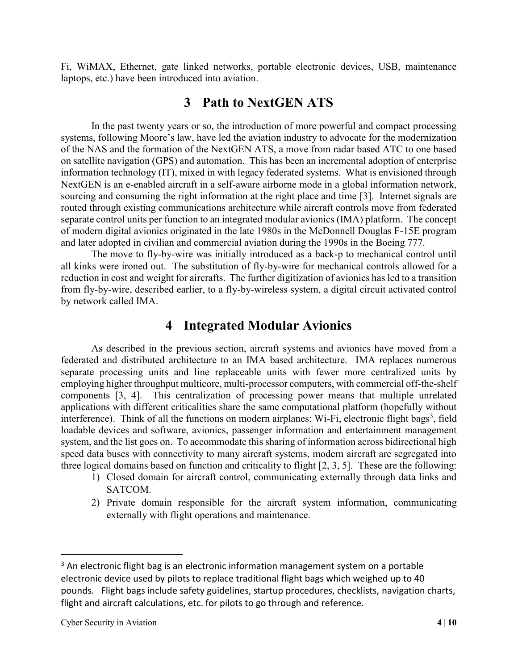Fi, WiMAX, Ethernet, gate linked networks, portable electronic devices, USB, maintenance laptops, etc.) have been introduced into aviation.

#### **3 Path to NextGEN ATS**

In the past twenty years or so, the introduction of more powerful and compact processing systems, following Moore's law, have led the aviation industry to advocate for the modernization of the NAS and the formation of the NextGEN ATS, a move from radar based ATC to one based on satellite navigation (GPS) and automation. This has been an incremental adoption of enterprise information technology (IT), mixed in with legacy federated systems. What is envisioned through NextGEN is an e-enabled aircraft in a self-aware airborne mode in a global information network, sourcing and consuming the right information at the right place and time [3]. Internet signals are routed through existing communications architecture while aircraft controls move from federated separate control units per function to an integrated modular avionics (IMA) platform. The concept of modern digital avionics originated in the late 1980s in the McDonnell Douglas F-15E program and later adopted in civilian and commercial aviation during the 1990s in the Boeing 777.

The move to fly-by-wire was initially introduced as a back-p to mechanical control until all kinks were ironed out. The substitution of fly-by-wire for mechanical controls allowed for a reduction in cost and weight for aircrafts. The further digitization of avionics has led to a transition from fly-by-wire, described earlier, to a fly-by-wireless system, a digital circuit activated control by network called IMA.

#### **4 Integrated Modular Avionics**

As described in the previous section, aircraft systems and avionics have moved from a federated and distributed architecture to an IMA based architecture. IMA replaces numerous separate processing units and line replaceable units with fewer more centralized units by employing higher throughput multicore, multi-processor computers, with commercial off-the-shelf components [3, 4]. This centralization of processing power means that multiple unrelated applications with different criticalities share the same computational platform (hopefully without interference). Think of all the functions on modern airplanes: Wi-Fi, electronic flight bags<sup>3</sup>, field loadable devices and software, avionics, passenger information and entertainment management system, and the list goes on. To accommodate this sharing of information across bidirectional high speed data buses with connectivity to many aircraft systems, modern aircraft are segregated into three logical domains based on function and criticality to flight [2, 3, 5]. These are the following:

- 1) Closed domain for aircraft control, communicating externally through data links and SATCOM.
- 2) Private domain responsible for the aircraft system information, communicating externally with flight operations and maintenance.

 $\overline{a}$ 

 $3$  An electronic flight bag is an electronic information management system on a portable electronic device used by pilots to replace traditional flight bags which weighed up to 40 pounds. Flight bags include safety guidelines, startup procedures, checklists, navigation charts, flight and aircraft calculations, etc. for pilots to go through and reference.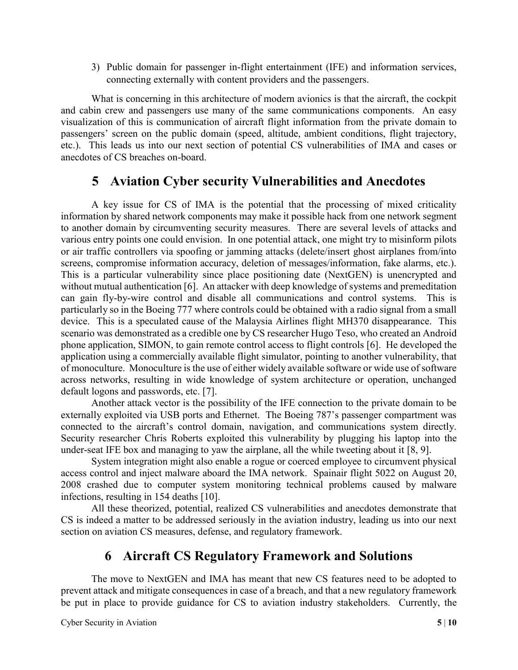3) Public domain for passenger in-flight entertainment (IFE) and information services, connecting externally with content providers and the passengers.

What is concerning in this architecture of modern avionics is that the aircraft, the cockpit and cabin crew and passengers use many of the same communications components. An easy visualization of this is communication of aircraft flight information from the private domain to passengers' screen on the public domain (speed, altitude, ambient conditions, flight trajectory, etc.). This leads us into our next section of potential CS vulnerabilities of IMA and cases or anecdotes of CS breaches on-board.

### **5 Aviation Cyber security Vulnerabilities and Anecdotes**

A key issue for CS of IMA is the potential that the processing of mixed criticality information by shared network components may make it possible hack from one network segment to another domain by circumventing security measures. There are several levels of attacks and various entry points one could envision. In one potential attack, one might try to misinform pilots or air traffic controllers via spoofing or jamming attacks (delete/insert ghost airplanes from/into screens, compromise information accuracy, deletion of messages/information, fake alarms, etc.). This is a particular vulnerability since place positioning date (NextGEN) is unencrypted and without mutual authentication [6]. An attacker with deep knowledge of systems and premeditation can gain fly-by-wire control and disable all communications and control systems. This is particularly so in the Boeing 777 where controls could be obtained with a radio signal from a small device. This is a speculated cause of the Malaysia Airlines flight MH370 disappearance. This scenario was demonstrated as a credible one by CS researcher Hugo Teso, who created an Android phone application, SIMON, to gain remote control access to flight controls [6]. He developed the application using a commercially available flight simulator, pointing to another vulnerability, that of monoculture. Monoculture is the use of either widely available software or wide use of software across networks, resulting in wide knowledge of system architecture or operation, unchanged default logons and passwords, etc. [7].

Another attack vector is the possibility of the IFE connection to the private domain to be externally exploited via USB ports and Ethernet. The Boeing 787's passenger compartment was connected to the aircraft's control domain, navigation, and communications system directly. Security researcher Chris Roberts exploited this vulnerability by plugging his laptop into the under-seat IFE box and managing to yaw the airplane, all the while tweeting about it [8, 9].

System integration might also enable a rogue or coerced employee to circumvent physical access control and inject malware aboard the IMA network. Spainair flight 5022 on August 20, 2008 crashed due to computer system monitoring technical problems caused by malware infections, resulting in 154 deaths [10].

All these theorized, potential, realized CS vulnerabilities and anecdotes demonstrate that CS is indeed a matter to be addressed seriously in the aviation industry, leading us into our next section on aviation CS measures, defense, and regulatory framework.

# **6 Aircraft CS Regulatory Framework and Solutions**

The move to NextGEN and IMA has meant that new CS features need to be adopted to prevent attack and mitigate consequences in case of a breach, and that a new regulatory framework be put in place to provide guidance for CS to aviation industry stakeholders. Currently, the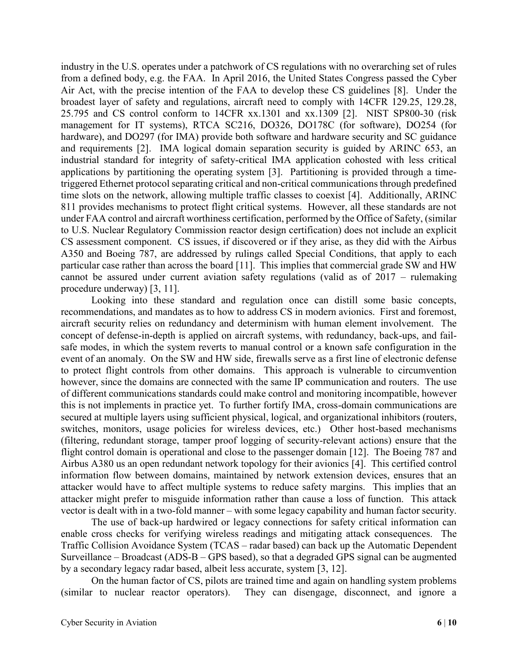industry in the U.S. operates under a patchwork of CS regulations with no overarching set of rules from a defined body, e.g. the FAA. In April 2016, the United States Congress passed the Cyber Air Act, with the precise intention of the FAA to develop these CS guidelines [8]. Under the broadest layer of safety and regulations, aircraft need to comply with 14CFR 129.25, 129.28, 25.795 and CS control conform to 14CFR xx.1301 and xx.1309 [2]. NIST SP800-30 (risk management for IT systems), RTCA SC216, DO326, DO178C (for software), DO254 (for hardware), and DO297 (for IMA) provide both software and hardware security and SC guidance and requirements [2]. IMA logical domain separation security is guided by ARINC 653, an industrial standard for integrity of safety-critical IMA application cohosted with less critical applications by partitioning the operating system [3]. Partitioning is provided through a timetriggered Ethernet protocol separating critical and non-critical communications through predefined time slots on the network, allowing multiple traffic classes to coexist [4]. Additionally, ARINC 811 provides mechanisms to protect flight critical systems. However, all these standards are not under FAA control and aircraft worthiness certification, performed by the Office of Safety, (similar to U.S. Nuclear Regulatory Commission reactor design certification) does not include an explicit CS assessment component. CS issues, if discovered or if they arise, as they did with the Airbus A350 and Boeing 787, are addressed by rulings called Special Conditions, that apply to each particular case rather than across the board [11]. This implies that commercial grade SW and HW cannot be assured under current aviation safety regulations (valid as of 2017 – rulemaking procedure underway) [3, 11].

Looking into these standard and regulation once can distill some basic concepts, recommendations, and mandates as to how to address CS in modern avionics. First and foremost, aircraft security relies on redundancy and determinism with human element involvement. The concept of defense-in-depth is applied on aircraft systems, with redundancy, back-ups, and failsafe modes, in which the system reverts to manual control or a known safe configuration in the event of an anomaly. On the SW and HW side, firewalls serve as a first line of electronic defense to protect flight controls from other domains. This approach is vulnerable to circumvention however, since the domains are connected with the same IP communication and routers. The use of different communications standards could make control and monitoring incompatible, however this is not implements in practice yet. To further fortify IMA, cross-domain communications are secured at multiple layers using sufficient physical, logical, and organizational inhibitors (routers, switches, monitors, usage policies for wireless devices, etc.) Other host-based mechanisms (filtering, redundant storage, tamper proof logging of security-relevant actions) ensure that the flight control domain is operational and close to the passenger domain [12]. The Boeing 787 and Airbus A380 us an open redundant network topology for their avionics [4]. This certified control information flow between domains, maintained by network extension devices, ensures that an attacker would have to affect multiple systems to reduce safety margins. This implies that an attacker might prefer to misguide information rather than cause a loss of function. This attack vector is dealt with in a two-fold manner – with some legacy capability and human factor security.

The use of back-up hardwired or legacy connections for safety critical information can enable cross checks for verifying wireless readings and mitigating attack consequences. The Traffic Collision Avoidance System (TCAS – radar based) can back up the Automatic Dependent Surveillance – Broadcast (ADS-B – GPS based), so that a degraded GPS signal can be augmented by a secondary legacy radar based, albeit less accurate, system [3, 12].

On the human factor of CS, pilots are trained time and again on handling system problems (similar to nuclear reactor operators). They can disengage, disconnect, and ignore a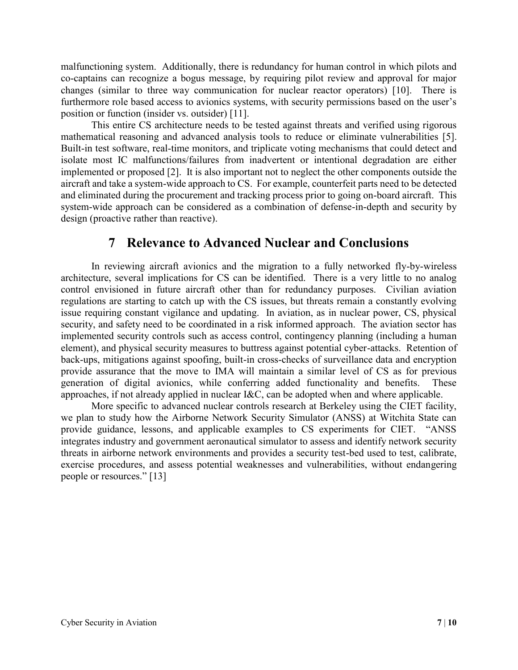malfunctioning system. Additionally, there is redundancy for human control in which pilots and co-captains can recognize a bogus message, by requiring pilot review and approval for major changes (similar to three way communication for nuclear reactor operators) [10]. There is furthermore role based access to avionics systems, with security permissions based on the user's position or function (insider vs. outsider) [11].

This entire CS architecture needs to be tested against threats and verified using rigorous mathematical reasoning and advanced analysis tools to reduce or eliminate vulnerabilities [5]. Built-in test software, real-time monitors, and triplicate voting mechanisms that could detect and isolate most IC malfunctions/failures from inadvertent or intentional degradation are either implemented or proposed [2]. It is also important not to neglect the other components outside the aircraft and take a system-wide approach to CS. For example, counterfeit parts need to be detected and eliminated during the procurement and tracking process prior to going on-board aircraft. This system-wide approach can be considered as a combination of defense-in-depth and security by design (proactive rather than reactive).

### **7 Relevance to Advanced Nuclear and Conclusions**

In reviewing aircraft avionics and the migration to a fully networked fly-by-wireless architecture, several implications for CS can be identified. There is a very little to no analog control envisioned in future aircraft other than for redundancy purposes. Civilian aviation regulations are starting to catch up with the CS issues, but threats remain a constantly evolving issue requiring constant vigilance and updating. In aviation, as in nuclear power, CS, physical security, and safety need to be coordinated in a risk informed approach. The aviation sector has implemented security controls such as access control, contingency planning (including a human element), and physical security measures to buttress against potential cyber-attacks. Retention of back-ups, mitigations against spoofing, built-in cross-checks of surveillance data and encryption provide assurance that the move to IMA will maintain a similar level of CS as for previous generation of digital avionics, while conferring added functionality and benefits. These approaches, if not already applied in nuclear I&C, can be adopted when and where applicable.

More specific to advanced nuclear controls research at Berkeley using the CIET facility, we plan to study how the Airborne Network Security Simulator (ANSS) at Witchita State can provide guidance, lessons, and applicable examples to CS experiments for CIET. "ANSS integrates industry and government aeronautical simulator to assess and identify network security threats in airborne network environments and provides a security test-bed used to test, calibrate, exercise procedures, and assess potential weaknesses and vulnerabilities, without endangering people or resources." [13]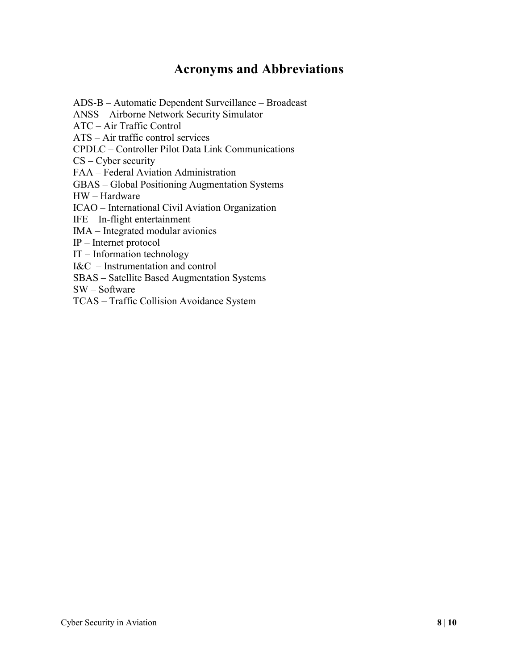## **Acronyms and Abbreviations**

ADS-B – Automatic Dependent Surveillance – Broadcast

ANSS – Airborne Network Security Simulator

ATC – Air Traffic Control

ATS – Air traffic control services

CPDLC – Controller Pilot Data Link Communications

CS – Cyber security

FAA – Federal Aviation Administration

GBAS – Global Positioning Augmentation Systems

HW – Hardware

ICAO – International Civil Aviation Organization

IFE – In-flight entertainment

IMA – Integrated modular avionics

IP – Internet protocol

IT – Information technology

I&C – Instrumentation and control

SBAS – Satellite Based Augmentation Systems

SW – Software

TCAS – Traffic Collision Avoidance System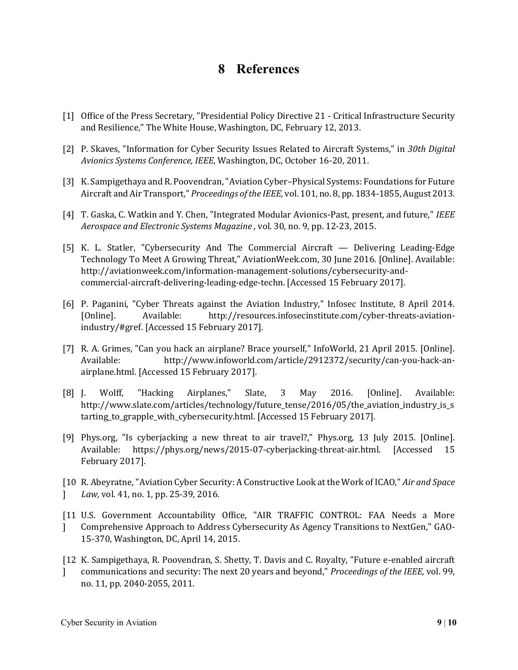## **8 References**

- [1] Office of the Press Secretary, "Presidential Policy Directive 21 Critical Infrastructure Security and Resilience," The White House, Washington, DC, February 12, 2013.
- [2] P. Skaves, "Information for Cyber Security Issues Related to Aircraft Systems," in *30th Digital Avionics Systems Conference, IEEE*, Washington, DC, October 16-20, 2011.
- [3] K. Sampigethaya and R. Poovendran, "Aviation Cyber–Physical Systems: Foundations for Future Aircraft and Air Transport," *Proceedings of the IEEE,* vol. 101, no. 8, pp. 1834-1855, August 2013.
- [4] T. Gaska, C. Watkin and Y. Chen, "Integrated Modular Avionics-Past, present, and future," *IEEE Aerospace and Electronic Systems Magazine ,* vol. 30, no. 9, pp. 12-23, 2015.
- [5] K. L. Statler, "Cybersecurity And The Commercial Aircraft Delivering Leading-Edge Technology To Meet A Growing Threat," AviationWeek.com, 30 June 2016. [Online]. Available: http://aviationweek.com/information-management-solutions/cybersecurity-andcommercial-aircraft-delivering-leading-edge-techn. [Accessed 15 February 2017].
- [6] P. Paganini, "Cyber Threats against the Aviation Industry," Infosec Institute, 8 April 2014. [Online]. Available: http://resources.infosecinstitute.com/cyber-threats-aviationindustry/#gref. [Accessed 15 February 2017].
- [7] R. A. Grimes, "Can you hack an airplane? Brace yourself," InfoWorld, 21 April 2015. [Online]. Available: http://www.infoworld.com/article/2912372/security/can-you-hack-anairplane.html. [Accessed 15 February 2017].
- [8] J. Wolff, "Hacking Airplanes," Slate, 3 May 2016. [Online]. Available: http://www.slate.com/articles/technology/future\_tense/2016/05/the\_aviation\_industry\_is\_s tarting\_to\_grapple\_with\_cybersecurity.html. [Accessed 15 February 2017].
- [9] Phys.org, "Is cyberjacking a new threat to air travel?," Phys.org, 13 July 2015. [Online]. Available: https://phys.org/news/2015-07-cyberjacking-threat-air.html. [Accessed 15 February 2017].
- [10 R. Abeyratne, "Aviation Cyber Security: A Constructive Look at the Work of ICAO," *Air and Space*   $\mathbf{1}$ *Law,* vol. 41, no. 1, pp. 25-39, 2016.
- [11 U.S. Government Accountability Office, "AIR TRAFFIC CONTROL: FAA Needs a More  $\mathbf{1}$ Comprehensive Approach to Address Cybersecurity As Agency Transitions to NextGen," GAO-15-370, Washington, DC, April 14, 2015.
- [12 K. Sampigethaya, R. Poovendran, S. Shetty, T. Davis and C. Royalty, "Future e-enabled aircraft  $\mathbf{1}$ communications and security: The next 20 years and beyond," *Proceedings of the IEEE,* vol. 99, no. 11, pp. 2040-2055, 2011.